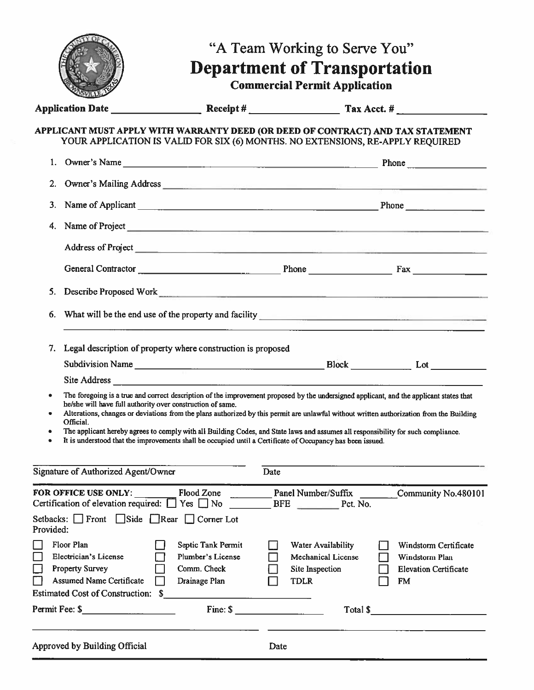|                                                                                                                                                                                                                                                                                                                                                                                                                                                                                                                                                                                                                        |                                                                         | "A Team Working to Serve You"<br><b>Department of Transportation</b><br><b>Commercial Permit Application</b> |                                                                                      |
|------------------------------------------------------------------------------------------------------------------------------------------------------------------------------------------------------------------------------------------------------------------------------------------------------------------------------------------------------------------------------------------------------------------------------------------------------------------------------------------------------------------------------------------------------------------------------------------------------------------------|-------------------------------------------------------------------------|--------------------------------------------------------------------------------------------------------------|--------------------------------------------------------------------------------------|
|                                                                                                                                                                                                                                                                                                                                                                                                                                                                                                                                                                                                                        |                                                                         |                                                                                                              |                                                                                      |
| APPLICANT MUST APPLY WITH WARRANTY DEED (OR DEED OF CONTRACT) AND TAX STATEMENT<br>YOUR APPLICATION IS VALID FOR SIX (6) MONTHS. NO EXTENSIONS, RE-APPLY REQUIRED                                                                                                                                                                                                                                                                                                                                                                                                                                                      |                                                                         |                                                                                                              |                                                                                      |
|                                                                                                                                                                                                                                                                                                                                                                                                                                                                                                                                                                                                                        |                                                                         |                                                                                                              |                                                                                      |
| Owner's Mailing Address <b>Contract Contract Contract Contract Contract Contract Contract Contract Contract Contract Contract Contract Contract Contract Contract Contract Contract Contract Contract Contract Contract Contract</b><br>2.                                                                                                                                                                                                                                                                                                                                                                             |                                                                         |                                                                                                              |                                                                                      |
| 3. Name of Applicant <u>examens and the set of the set of the set of the set of the set of the set of the set of the set of the set of the set of the set of the set of the set of the set of the set of the set of the set of t</u>                                                                                                                                                                                                                                                                                                                                                                                   |                                                                         |                                                                                                              |                                                                                      |
| 4.                                                                                                                                                                                                                                                                                                                                                                                                                                                                                                                                                                                                                     |                                                                         |                                                                                                              |                                                                                      |
|                                                                                                                                                                                                                                                                                                                                                                                                                                                                                                                                                                                                                        |                                                                         |                                                                                                              |                                                                                      |
|                                                                                                                                                                                                                                                                                                                                                                                                                                                                                                                                                                                                                        |                                                                         |                                                                                                              |                                                                                      |
| Describe Proposed Work<br>5.                                                                                                                                                                                                                                                                                                                                                                                                                                                                                                                                                                                           |                                                                         |                                                                                                              |                                                                                      |
| 6.                                                                                                                                                                                                                                                                                                                                                                                                                                                                                                                                                                                                                     |                                                                         |                                                                                                              |                                                                                      |
| Legal description of property where construction is proposed<br>7.                                                                                                                                                                                                                                                                                                                                                                                                                                                                                                                                                     |                                                                         |                                                                                                              |                                                                                      |
|                                                                                                                                                                                                                                                                                                                                                                                                                                                                                                                                                                                                                        |                                                                         |                                                                                                              |                                                                                      |
| The foregoing is a true and correct description of the improvement proposed by the undersigned applicant, and the applicant states that<br>he/she will have full authority over construction of same.<br>Alterations, changes or deviations from the plans authorized by this permit are unlawful without written authorization from the Building<br>Official.<br>The applicant hereby agrees to comply with all Building Codes, and State laws and assumes all responsibility for such compliance.<br>٠<br>It is understood that the improvements shall be occupied until a Certificate of Occupancy has been issued. |                                                                         |                                                                                                              |                                                                                      |
| Signature of Authorized Agent/Owner                                                                                                                                                                                                                                                                                                                                                                                                                                                                                                                                                                                    |                                                                         | Date                                                                                                         |                                                                                      |
| FOR OFFICE USE ONLY:<br>Certification of elevation required: $\Box$ Yes $\Box$ No<br>Setbacks: Front Side Rear Corner Lot<br>Provided:                                                                                                                                                                                                                                                                                                                                                                                                                                                                                 | Flood Zone                                                              | <b>Panel Number/Suffix</b><br>BFE Pct. No.                                                                   | Community No.480101                                                                  |
| Floor Plan<br>Electrician's License<br>Property Survey<br><b>Assumed Name Certificate</b><br>Estimated Cost of Construction: \$                                                                                                                                                                                                                                                                                                                                                                                                                                                                                        | Septic Tank Permit<br>Plumber's License<br>Comm. Check<br>Drainage Plan | Water Availability<br><b>Mechanical License</b><br>Site Inspection<br><b>TDLR</b>                            | Windstorm Certificate<br>Windstorm Plan<br><b>Elevation Certificate</b><br><b>FM</b> |
| Permit Fee: \$                                                                                                                                                                                                                                                                                                                                                                                                                                                                                                                                                                                                         | Fine: $\sim$                                                            |                                                                                                              | Total $\sim$                                                                         |
| Approved by Building Official                                                                                                                                                                                                                                                                                                                                                                                                                                                                                                                                                                                          |                                                                         | Date                                                                                                         |                                                                                      |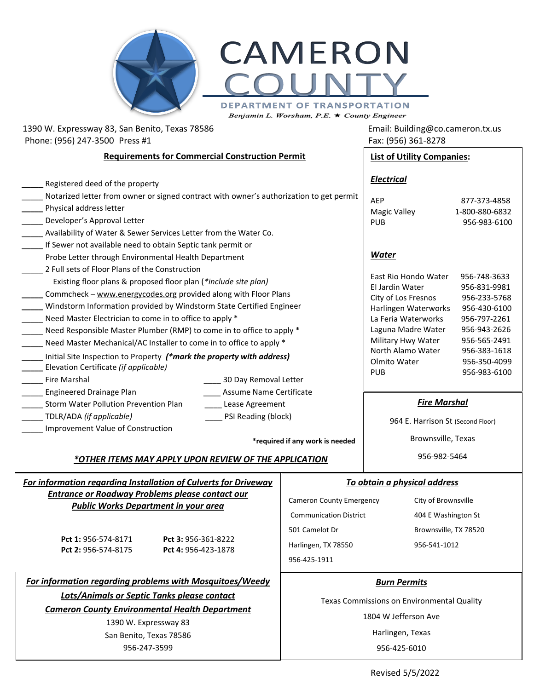



DEPARTMENT OF TRANSPORTATION

Benjamin L. Worsham, P.E.  $\star$  County Engineer

## 1390 W. Expressway 83, San Benito, Texas 78586 **Email: Building@co.cameron.tx.us** Phone: (956) 247-3500 Press #1 Fax: (956) 361-8278

Revised 5/5/2022

| <b>Requirements for Commercial Construction Permit</b>                                                                                                                                                                                                                                                                                                                                                                                                                                                                                                                                                                                                                                                                                                           | <b>List of Utility Companies:</b>                                                                                         |                                                                                                                                                                                                                              |                                                                                                                                                              |
|------------------------------------------------------------------------------------------------------------------------------------------------------------------------------------------------------------------------------------------------------------------------------------------------------------------------------------------------------------------------------------------------------------------------------------------------------------------------------------------------------------------------------------------------------------------------------------------------------------------------------------------------------------------------------------------------------------------------------------------------------------------|---------------------------------------------------------------------------------------------------------------------------|------------------------------------------------------------------------------------------------------------------------------------------------------------------------------------------------------------------------------|--------------------------------------------------------------------------------------------------------------------------------------------------------------|
| Registered deed of the property<br>Notarized letter from owner or signed contract with owner's authorization to get permit<br>Physical address letter<br>Developer's Approval Letter<br>Availability of Water & Sewer Services Letter from the Water Co.                                                                                                                                                                                                                                                                                                                                                                                                                                                                                                         |                                                                                                                           | <b>Electrical</b><br>AEP<br><b>Magic Valley</b><br><b>PUB</b>                                                                                                                                                                | 877-373-4858<br>1-800-880-6832<br>956-983-6100                                                                                                               |
| If Sewer not available need to obtain Septic tank permit or<br>Probe Letter through Environmental Health Department<br>2 Full sets of Floor Plans of the Construction<br>Existing floor plans & proposed floor plan (*include site plan)<br>Commcheck - www.energycodes.org provided along with Floor Plans<br>Windstorm Information provided by Windstorm State Certified Engineer<br>Need Master Electrician to come in to office to apply *<br>Need Responsible Master Plumber (RMP) to come in to office to apply *<br>Need Master Mechanical/AC Installer to come in to office to apply *<br>Initial Site Inspection to Property (*mark the property with address)<br>Elevation Certificate (if applicable)<br><b>Fire Marshal</b><br>30 Day Removal Letter |                                                                                                                           | <b>Water</b><br>East Rio Hondo Water<br>El Jardin Water<br>City of Los Fresnos<br>Harlingen Waterworks<br>La Feria Waterworks<br>Laguna Madre Water<br>Military Hwy Water<br>North Alamo Water<br>Olmito Water<br><b>PUB</b> | 956-748-3633<br>956-831-9981<br>956-233-5768<br>956-430-6100<br>956-797-2261<br>956-943-2626<br>956-565-2491<br>956-383-1618<br>956-350-4099<br>956-983-6100 |
| <b>Engineered Drainage Plan</b><br>Assume Name Certificate<br>Storm Water Pollution Prevention Plan<br>Lease Agreement<br>TDLR/ADA (if applicable)<br>PSI Reading (block)<br>Improvement Value of Construction<br>*required if any work is needed<br><u>*OTHER ITEMS MAY APPLY UPON REVIEW OF THE APPLICATION</u>                                                                                                                                                                                                                                                                                                                                                                                                                                                |                                                                                                                           | <b>Fire Marshal</b><br>964 E. Harrison St (Second Floor)<br>Brownsville, Texas<br>956-982-5464                                                                                                                               |                                                                                                                                                              |
| For information regarding Installation of Culverts for Driveway<br><b>Entrance or Roadway Problems please contact our</b><br><b>Public Works Department in your area</b><br>Pct 1: 956-574-8171<br>Pct 3: 956-361-8222<br>Pct 2: 956-574-8175<br>Pct 4: 956-423-1878                                                                                                                                                                                                                                                                                                                                                                                                                                                                                             | <b>Cameron County Emergency</b><br><b>Communication District</b><br>501 Camelot Dr<br>Harlingen, TX 78550<br>956-425-1911 | To obtain a physical address<br>City of Brownsville<br>404 E Washington St<br>Brownsville, TX 78520<br>956-541-1012                                                                                                          |                                                                                                                                                              |
| For information regarding problems with Mosquitoes/Weedy<br><b>Lots/Animals or Septic Tanks please contact</b><br><b>Cameron County Environmental Health Department</b><br>1390 W. Expressway 83<br>San Benito, Texas 78586<br>956-247-3599                                                                                                                                                                                                                                                                                                                                                                                                                                                                                                                      |                                                                                                                           | <b>Burn Permits</b><br>Texas Commissions on Environmental Quality<br>1804 W Jefferson Ave<br>Harlingen, Texas<br>956-425-6010                                                                                                |                                                                                                                                                              |